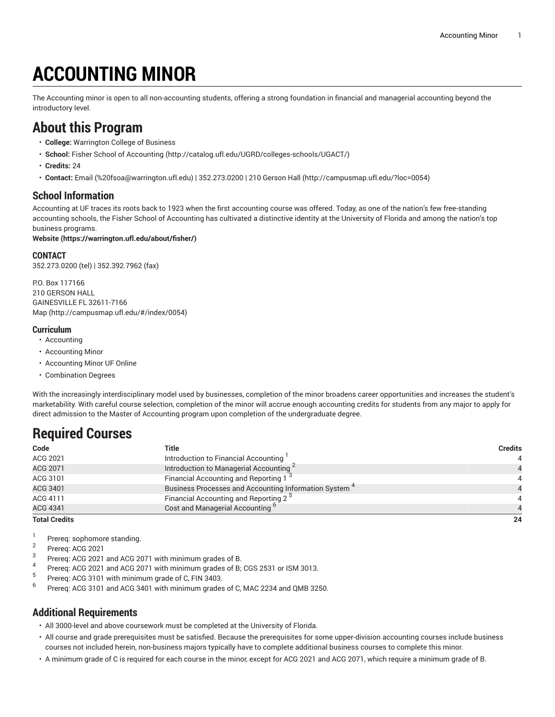# **ACCOUNTING MINOR**

The Accounting minor is open to all non-accounting students, offering a strong foundation in financial and managerial accounting beyond the introductory level.

### **About this Program**

- **College:** Warrington College of Business
- **School:** [Fisher School of Accounting \(http://catalog.ufl.edu/UGRD/colleges-schools/UGACT/](http://catalog.ufl.edu/UGRD/colleges-schools/UGACT/))
- **Credits:** 24
- **Contact:** [Email](mailto:%20fsoa@warrington.ufl.edu) [\(%20fsoa@warrington.ufl.edu\)](%20fsoa@warrington.ufl.edu) | 352.273.0200 | [210 Gerson Hall \(http://campusmap.ufl.edu/?loc=0054\)](http://campusmap.ufl.edu/?loc=0054)

### **School Information**

Accounting at UF traces its roots back to 1923 when the first accounting course was offered. Today, as one of the nation's few free-standing accounting schools, the Fisher School of Accounting has cultivated a distinctive identity at the University of Florida and among the nation's top business programs.

#### **[Website](https://warrington.ufl.edu/about/fisher/) (<https://warrington.ufl.edu/about/fisher/>)**

#### **CONTACT**

352.273.0200 (tel) | 352.392.7962 (fax)

P.O. Box 117166 210 GERSON HALL GAINESVILLE FL 32611-7166 [Map](http://campusmap.ufl.edu/#/index/0054) ([http://campusmap.ufl.edu/#/index/0054\)](http://campusmap.ufl.edu/#/index/0054)

#### **Curriculum**

- Accounting
- Accounting Minor
- Accounting Minor UF Online
- Combination Degrees

With the increasingly interdisciplinary model used by businesses, completion of the minor broadens career opportunities and increases the student's marketability. With careful course selection, completion of the minor will accrue enough accounting credits for students from any major to apply for direct admission to the Master of Accounting program upon completion of the undergraduate degree.

## **Required Courses**

| Code                 | Title                                                             | <b>Credits</b> |
|----------------------|-------------------------------------------------------------------|----------------|
| ACG 2021             | Introduction to Financial Accounting                              |                |
| <b>ACG 2071</b>      | Introduction to Managerial Accounting <sup>2</sup>                |                |
| ACG 3101             | Financial Accounting and Reporting 1 <sup>3</sup>                 |                |
| ACG 3401             | Business Processes and Accounting Information System <sup>4</sup> |                |
| ACG 4111             | Financial Accounting and Reporting 2 <sup>5</sup>                 |                |
| <b>ACG 4341</b>      | Cost and Managerial Accounting <sup>b</sup>                       |                |
| <b>Total Credits</b> |                                                                   | 24             |

1

- Prereq: sophomore standing. 2
- Prereq: ACG 2021 3
- Prereq: ACG 2021 and ACG 2071 with minimum grades of B.
- 4 Prereq: ACG 2021 and ACG 2071 with minimum grades of B; CGS 2531 or ISM 3013.
- 5 Prereq: ACG 3101 with minimum grade of C, FIN 3403.
- 6 Prereq: ACG 3101 and ACG 3401 with minimum grades of C, MAC 2234 and QMB 3250.

#### **Additional Requirements**

• All 3000-level and above coursework must be completed at the University of Florida.

- All course and grade prerequisites must be satisfied. Because the prerequisites for some upper-division accounting courses include business courses not included herein, non-business majors typically have to complete additional business courses to complete this minor.
- A minimum grade of C is required for each course in the minor, except for ACG 2021 and ACG 2071, which require a minimum grade of B.